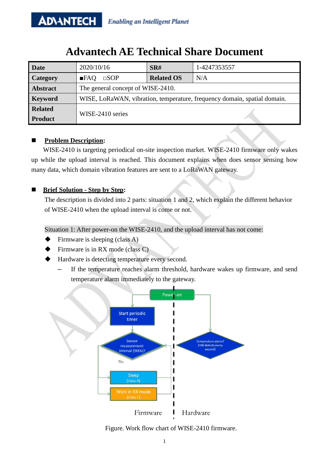# **Advantech AE Technical Share Document**

| <b>Date</b>     | 2020/10/16                                                               | SR#               | 1-4247353557 |
|-----------------|--------------------------------------------------------------------------|-------------------|--------------|
| <b>Category</b> | $\square$ SOP<br>FAO                                                     | <b>Related OS</b> | N/A          |
| <b>Abstract</b> | The general concept of WISE-2410.                                        |                   |              |
| <b>Keyword</b>  | WISE, LoRaWAN, vibration, temperature, frequency domain, spatial domain. |                   |              |
| <b>Related</b>  | WISE-2410 series                                                         |                   |              |
| <b>Product</b>  |                                                                          |                   |              |

## **Problem Description:**

WISE-2410 is targeting periodical on-site inspection market. WISE-2410 firmware only wakes up while the upload interval is reached. This document explains when does sensor sensing how many data, which domain vibration features are sent to a LoRaWAN gateway.

## **Brief Solution - Step by Step:**

The description is divided into 2 parts: situation 1 and 2, which explain the different behavior of WISE-2410 when the upload interval is come or not.

Situation 1: After power-on the WISE-2410, and the upload interval has not come:

- Firmware is sleeping (class A)
- Firmware is in RX mode (class C)
- Hardware is detecting temperature every second.
	- If the temperature reaches alarm threshold, hardware wakes up firmware, and send temperature alarm immediately to the gateway.



Figure. Work flow chart of WISE-2410 firmware.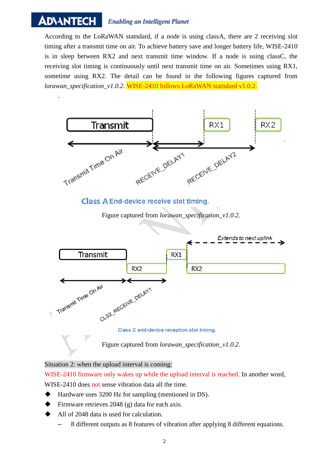#### **ADIANTECH Enabling an Intelligent Planet**

According to the LoRaWAN statndard, if a node is using classA, there are 2 receiving slot timing after a transmit time on air. To achieve battery save and longer battery life, WISE-2410 is in sleep between RX2 and next transmit time window. If a node is using classC, the receiving slot timing is continuously until next transmit time on air. Sometimes using RX1, sometime using RX2. The detail can be found in the following figures captured from *lorawan\_specification\_v1.0.2*. WISE-2410 follows LoRaWAN statndard v1.0.2.



Situation 2: when the upload interval is coming:

WISE-2410 firmware only wakes up while the upload interval is reached. In another word, WISE-2410 does not sense vibration data all the time.

- ◆ Hardware uses 3200 Hz for sampling (mentioned in DS).
- Firmware retrieves 2048 (g) data for each axis.
- All of 2048 data is used for calculation.
	- 8 different outputs as 8 features of vibration after applying 8 different equations.